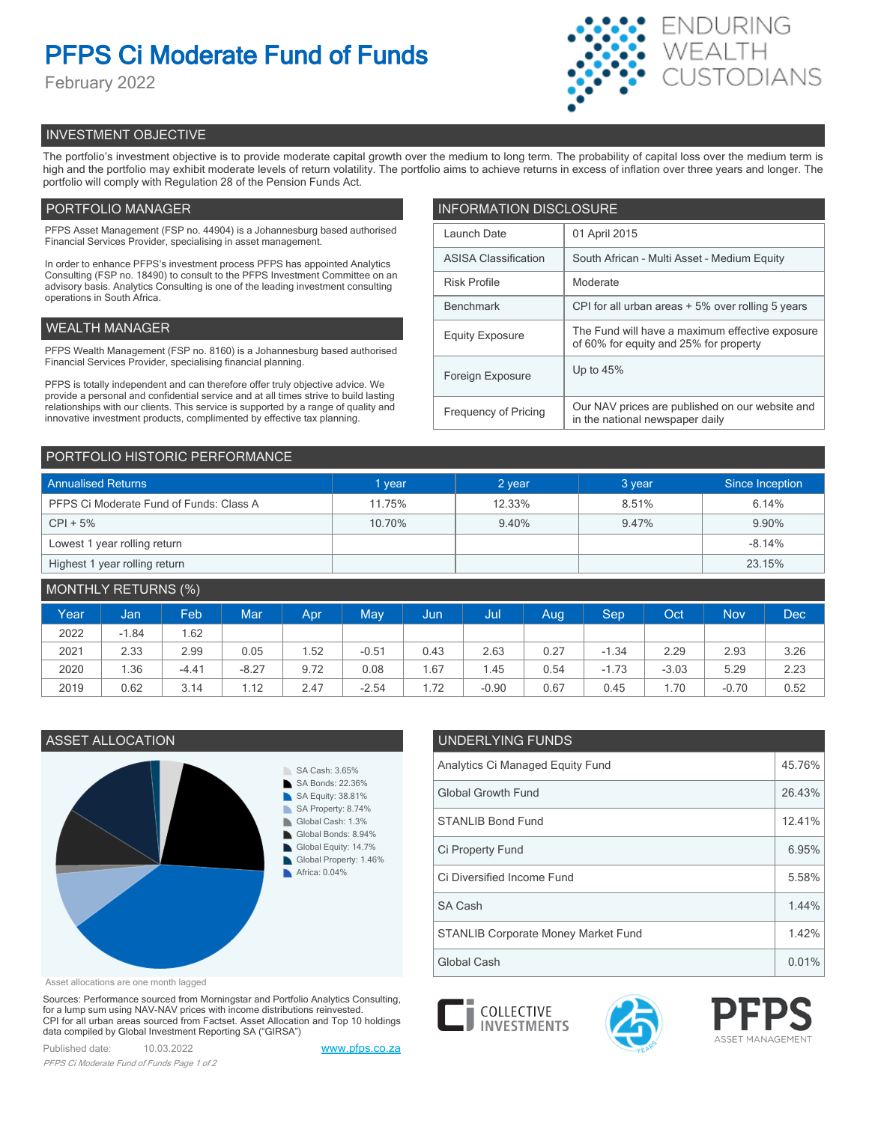# **PFPS Ci Moderate Fund of Funds**

February 2022



# INVESTMENT OBJECTIVE

The portfolio's investment objective is to provide moderate capital growth over the medium to long term. The probability of capital loss over the medium term is high and the portfolio may exhibit moderate levels of return volatility. The portfolio aims to achieve returns in excess of inflation over three years and longer. The portfolio will comply with Regulation 28 of the Pension Funds Act.

# PORTFOLIO MANAGER

PFPS Asset Management (FSP no. 44904) is a Johannesburg based authorised Financial Services Provider, specialising in asset management.

In order to enhance PFPS's investment process PFPS has appointed Analytics Consulting (FSP no. 18490) to consult to the PFPS Investment Committee on an advisory basis. Analytics Consulting is one of the leading investment consulting operations in South Africa.

# WEALTH MANAGER

PFPS Wealth Management (FSP no. 8160) is a Johannesburg based authorised Financial Services Provider, specialising financial planning.

PFPS is totally independent and can therefore offer truly objective advice. We provide a personal and confidential service and at all times strive to build lasting relationships with our clients. This service is supported by a range of quality and innovative investment products, complimented by effective tax planning.

| <b>INFORMATION DISCLOSURE</b> |                                                                                           |  |  |  |
|-------------------------------|-------------------------------------------------------------------------------------------|--|--|--|
| Launch Date                   | 01 April 2015                                                                             |  |  |  |
| <b>ASISA Classification</b>   | South African - Multi Asset - Medium Equity                                               |  |  |  |
| <b>Risk Profile</b>           | Moderate                                                                                  |  |  |  |
| <b>Benchmark</b>              | CPI for all urban areas + 5% over rolling 5 years                                         |  |  |  |
| <b>Equity Exposure</b>        | The Fund will have a maximum effective exposure<br>of 60% for equity and 25% for property |  |  |  |
| Foreign Exposure              | Up to $45%$                                                                               |  |  |  |
| <b>Frequency of Pricing</b>   | Our NAV prices are published on our website and<br>in the national newspaper daily        |  |  |  |

# PORTFOLIO HISTORIC PERFORMANCE

| <b>Annualised Returns</b>               | 1 year | 2 year | 3 year | Since Inception |
|-----------------------------------------|--------|--------|--------|-----------------|
| PFPS Ci Moderate Fund of Funds: Class A | 11.75% | 12.33% | 8.51%  | 6.14%           |
| $CPI + 5%$                              | 10.70% | 9.40%  | 9.47%  | 9.90%           |
| Lowest 1 year rolling return            |        |        |        | $-8.14%$        |
| Highest 1 year rolling return           |        |        |        | 23.15%          |

| MONTHLY RETURNS (%) |         |         |            |      |         |      |         |      |         |         |            |      |
|---------------------|---------|---------|------------|------|---------|------|---------|------|---------|---------|------------|------|
| Year                | Jan     | Feb     | <b>Mar</b> | Apr  | May     | Uun. | Jul     | Aug  | Sep     | Oct     | <b>Nov</b> | Dec  |
| 2022                | $-1.84$ | 1.62    |            |      |         |      |         |      |         |         |            |      |
| 2021                | 2.33    | 2.99    | 0.05       | 1.52 | $-0.51$ | 0.43 | 2.63    | 0.27 | $-1.34$ | 2.29    | 2.93       | 3.26 |
| 2020                | 1.36    | $-4.41$ | $-8.27$    | 9.72 | 0.08    | i.67 | 1.45    | 0.54 | $-1.73$ | $-3.03$ | 5.29       | 2.23 |
| 2019                | 0.62    | 3.14    | 1.12       | 2.47 | $-2.54$ | 1.72 | $-0.90$ | 0.67 | 0.45    | 70،،    | $-0.70$    | 0.52 |



| Asset allocations are one month lagged |  |  |  |
|----------------------------------------|--|--|--|
|----------------------------------------|--|--|--|

Sources: Performance sourced from Morningstar and Portfolio Analytics Consulting, for a lump sum using NAV-NAV prices with income distributions reinvested. CPI for all urban areas sourced from Factset. Asset Allocation and Top 10 holdings data compiled by Global Investment Reporting SA ("GIRSA")

Published date: 10.03.2022 [www.pfps.co.za](https://www.pfps.co.za/) *PFPS Ci Moderate Fund of Funds Page 1 of 2*